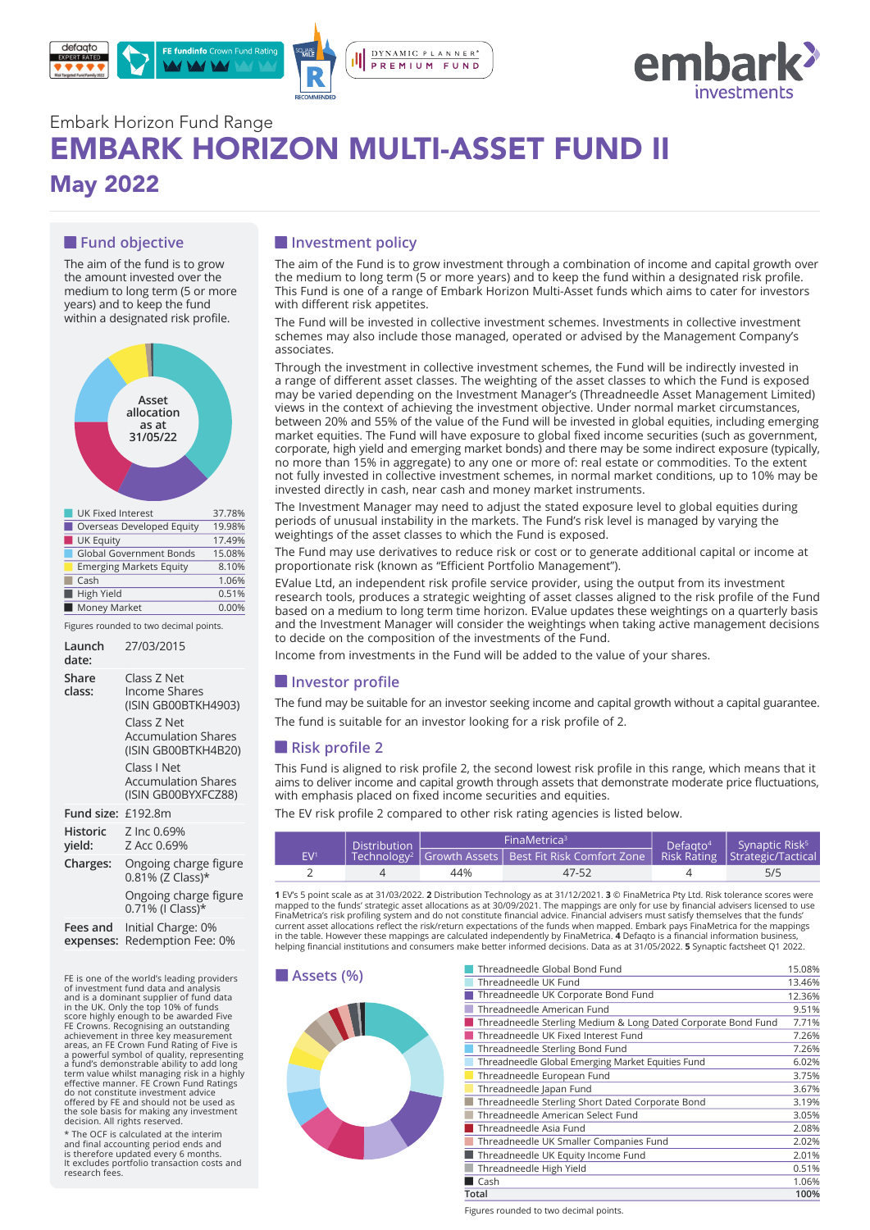



# Embark Horizon Fund Range EMBARK HORIZON MULTI-ASSET FUND II May 2022

## **Fund objective**

The aim of the fund is to grow the amount invested over the medium to long term (5 or more years) and to keep the fund within a designated risk profile.



| UK Equity                      | 17.49% |
|--------------------------------|--------|
| <b>Global Government Bonds</b> | 15.08% |
| <b>Emerging Markets Equity</b> | 8.10%  |
| Cash                           | 1.06%  |
| High Yield                     | 0.51%  |
| Money Market                   | 0.00%  |

Figures rounded to two decimal points.

| Launch<br>date:       | 27/03/2015                                                                                                                                    |
|-----------------------|-----------------------------------------------------------------------------------------------------------------------------------------------|
| Share<br>class:       | Class Z Net<br><b>Income Shares</b><br>(ISIN GB00BTKH4903)<br>Class Z Net<br><b>Accumulation Shares</b><br>(ISIN GB00BTKH4B20)<br>Class I Net |
|                       | <b>Accumulation Shares</b><br>(ISIN GB00BYXFCZ88)                                                                                             |
| Fund size: £192.8m    |                                                                                                                                               |
| Historic<br>yield:    | Z Inc 0.69%<br>Z Acc 0.69%                                                                                                                    |
| Charges:              | Ongoing charge figure<br>0.81% (Z Class)*                                                                                                     |
|                       | Ongoing charge figure<br>0.71% (I Class)*                                                                                                     |
| Fees and<br>expenses: | Initial Charge: 0%<br>Redemption Fee: 0%                                                                                                      |

FE is one of the world's leading providers **ASSETS (%)**<br>of investment fund data and analysis and is a dominant supplier of fund data in the UK. Only the top 10% of funds<br>score highly enough to be awarded Five<br>FFE Crowns. Recognising an outstanding<br>achievement in three key measurement<br>areas, an FE Crown Fund Rating of Five is<br>a powerful symbol of quality do not constitute investment advice offered by FE and should not be used as the sole basis for making any investment decision. All rights reserved.

\* The OCF is calculated at the interim and final accounting period ends and is therefore updated every 6 months. It excludes portfolio transaction costs and research fees.

## $\blacksquare$  Investment policy

The aim of the Fund is to grow investment through a combination of income and capital growth over the medium to long term (5 or more years) and to keep the fund within a designated risk profile. This Fund is one of a range of Embark Horizon Multi-Asset funds which aims to cater for investors with different risk appetites.

The Fund will be invested in collective investment schemes. Investments in collective investment schemes may also include those managed, operated or advised by the Management Company's associates.

Through the investment in collective investment schemes, the Fund will be indirectly invested in a range of different asset classes. The weighting of the asset classes to which the Fund is exposed may be varied depending on the Investment Manager's (Threadneedle Asset Management Limited) views in the context of achieving the investment objective. Under normal market circumstances, between 20% and 55% of the value of the Fund will be invested in global equities, including emerging market equities. The Fund will have exposure to global fixed income securities (such as government, corporate, high yield and emerging market bonds) and there may be some indirect exposure (typically, no more than 15% in aggregate) to any one or more of: real estate or commodities. To the extent not fully invested in collective investment schemes, in normal market conditions, up to 10% may be invested directly in cash, near cash and money market instruments.

The Investment Manager may need to adjust the stated exposure level to global equities during periods of unusual instability in the markets. The Fund's risk level is managed by varying the weightings of the asset classes to which the Fund is exposed.

The Fund may use derivatives to reduce risk or cost or to generate additional capital or income at proportionate risk (known as "Efficient Portfolio Management").

EValue Ltd, an independent risk profile service provider, using the output from its investment research tools, produces a strategic weighting of asset classes aligned to the risk profile of the Fund based on a medium to long term time horizon. EValue updates these weightings on a quarterly basis and the Investment Manager will consider the weightings when taking active management decisions to decide on the composition of the investments of the Fund.

Income from investments in the Fund will be added to the value of your shares.

#### *I* Investor profile

The fund may be suitable for an investor seeking income and capital growth without a capital guarantee.

The fund is suitable for an investor looking for a risk profile of 2.

#### **Risk profile 2**

This Fund is aligned to risk profile 2, the second lowest risk profile in this range, which means that it aims to deliver income and capital growth through assets that demonstrate moderate price fluctuations, with emphasis placed on fixed income securities and equities.

The EV risk profile 2 compared to other risk rating agencies is listed below.

| <b>Distribution</b> |  |     | FinaMetrica <sup>3</sup>                                                                              | Defaato <sup>4</sup> | Synaptic Risk <sup>5</sup> |  |
|---------------------|--|-----|-------------------------------------------------------------------------------------------------------|----------------------|----------------------------|--|
| EV <sup>1</sup>     |  |     | Technology <sup>2</sup> Growth Assets   Best Fit Risk Comfort Zone   Risk Rating   Strategic/Tactical |                      |                            |  |
|                     |  | 44% | 47-52                                                                                                 |                      | 5/5                        |  |

**1** EV's 5 point scale as at 31/03/2022. **2** Distribution Technology as at 31/12/2021. **3** © FinaMetrica Pty Ltd. Risk tolerance scores were<br>mapped to the funds' strategic asset allocations as at 30/09/2021. The mappings a current asset allocations reflect the risk/return expectations of the funds when mapped. Embark pays FinaMetrica for the mappings in the table. However these mappings are calculated independently by FinaMetrica. **4** Defaqto is a financial information business,<br>helping financial institutions and consumers make better informed decisions. Data as at 31/



| Threadneedle Global Bond Fund                                 | 15.08% |
|---------------------------------------------------------------|--------|
| Threadneedle UK Fund                                          | 13.46% |
| Threadneedle UK Corporate Bond Fund                           | 12.36% |
| Threadneedle American Fund                                    | 9.51%  |
| Threadneedle Sterling Medium & Long Dated Corporate Bond Fund | 7.71%  |
| Threadneedle UK Fixed Interest Fund                           | 7.26%  |
| Threadneedle Sterling Bond Fund                               | 7.26%  |
| Threadneedle Global Emerging Market Equities Fund             | 6.02%  |
| Threadneedle European Fund                                    | 3.75%  |
| Threadneedle Japan Fund                                       | 3.67%  |
| Threadneedle Sterling Short Dated Corporate Bond              | 3.19%  |
| Threadneedle American Select Fund                             | 3.05%  |
| Threadneedle Asia Fund                                        | 2.08%  |
| Threadneedle UK Smaller Companies Fund                        | 2.02%  |
| Threadneedle UK Equity Income Fund                            | 2.01%  |
| Threadneedle High Yield                                       | 0.51%  |
| Cash                                                          | 1.06%  |
| Total                                                         | 100%   |

Figures rounded to two decimal points.